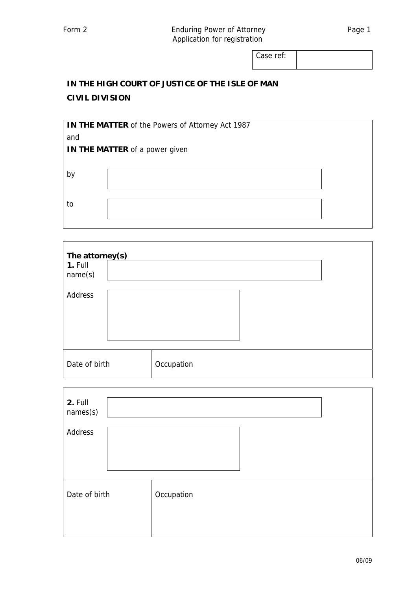Case ref:

## **IN THE HIGH COURT OF JUSTICE OF THE ISLE OF MAN CIVIL DIVISION**

| <b>IN THE MATTER of the Powers of Attorney Act 1987</b> |  |  |  |  |  |
|---------------------------------------------------------|--|--|--|--|--|
| and                                                     |  |  |  |  |  |
| IN THE MATTER of a power given                          |  |  |  |  |  |
|                                                         |  |  |  |  |  |
| b١                                                      |  |  |  |  |  |
|                                                         |  |  |  |  |  |
|                                                         |  |  |  |  |  |
| to                                                      |  |  |  |  |  |
|                                                         |  |  |  |  |  |

| The attorney(s)    |            |  |  |  |  |  |  |  |
|--------------------|------------|--|--|--|--|--|--|--|
| 1. Full<br>name(s) |            |  |  |  |  |  |  |  |
| Address            |            |  |  |  |  |  |  |  |
|                    |            |  |  |  |  |  |  |  |
|                    |            |  |  |  |  |  |  |  |
|                    |            |  |  |  |  |  |  |  |
| Date of birth      | Occupation |  |  |  |  |  |  |  |

| 2. Full<br>names(s) |            |
|---------------------|------------|
| Address             |            |
| Date of birth       | Occupation |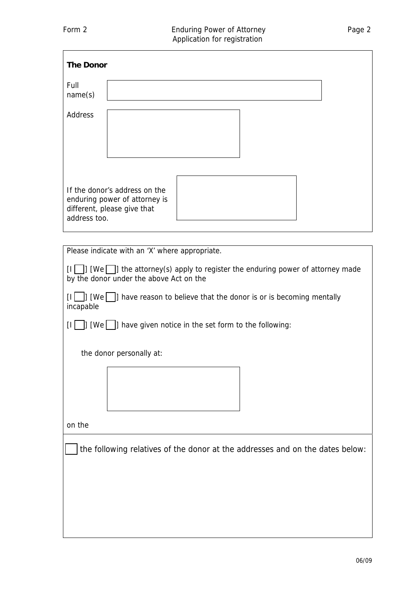| <b>The Donor</b>                                                                                                                          |
|-------------------------------------------------------------------------------------------------------------------------------------------|
| Full<br>name(s)                                                                                                                           |
| Address                                                                                                                                   |
| If the donor's address on the<br>enduring power of attorney is<br>different, please give that<br>address too.                             |
|                                                                                                                                           |
| Please indicate with an 'X' where appropriate.                                                                                            |
| $\vert$ ] [We $\vert$  ] the attorney(s) apply to register the enduring power of attorney made<br>by the donor under the above Act on the |

 $[1]$  [We ] have reason to believe that the donor is or is becoming mentally incapable

 $\begin{bmatrix} 1 \end{bmatrix}$  [We  $\begin{bmatrix} 1 \end{bmatrix}$  have given notice in the set form to the following:

the donor personally at:



on the

the following relatives of the donor at the addresses and on the dates below: